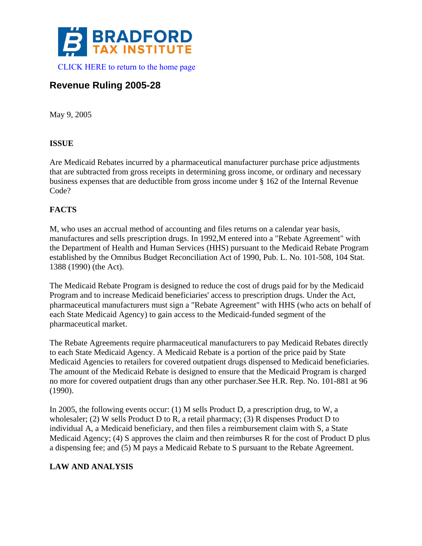

# **Revenue Ruling 2005-28**

May 9, 2005

## **ISSUE**

Are Medicaid Rebates incurred by a pharmaceutical manufacturer purchase price adjustments that are subtracted from gross receipts in determining gross income, or ordinary and necessary business expenses that are deductible from gross income under § 162 of the Internal Revenue Code?

## **FACTS**

M, who uses an accrual method of accounting and files returns on a calendar year basis, manufactures and sells prescription drugs. In 1992,M entered into a "Rebate Agreement" with the Department of Health and Human Services (HHS) pursuant to the Medicaid Rebate Program established by the Omnibus Budget Reconciliation Act of 1990, Pub. L. No. 101-508, 104 Stat. 1388 (1990) (the Act).

The Medicaid Rebate Program is designed to reduce the cost of drugs paid for by the Medicaid Program and to increase Medicaid beneficiaries' access to prescription drugs. Under the Act, pharmaceutical manufacturers must sign a "Rebate Agreement" with HHS (who acts on behalf of each State Medicaid Agency) to gain access to the Medicaid-funded segment of the pharmaceutical market.

The Rebate Agreements require pharmaceutical manufacturers to pay Medicaid Rebates directly to each State Medicaid Agency. A Medicaid Rebate is a portion of the price paid by State Medicaid Agencies to retailers for covered outpatient drugs dispensed to Medicaid beneficiaries. The amount of the Medicaid Rebate is designed to ensure that the Medicaid Program is charged no more for covered outpatient drugs than any other purchaser.See H.R. Rep. No. 101-881 at 96 (1990).

In 2005, the following events occur: (1) M sells Product D, a prescription drug, to W, a wholesaler; (2) W sells Product D to R, a retail pharmacy; (3) R dispenses Product D to individual A, a Medicaid beneficiary, and then files a reimbursement claim with S, a State Medicaid Agency; (4) S approves the claim and then reimburses R for the cost of Product D plus a dispensing fee; and (5) M pays a Medicaid Rebate to S pursuant to the Rebate Agreement.

## **LAW AND ANALYSIS**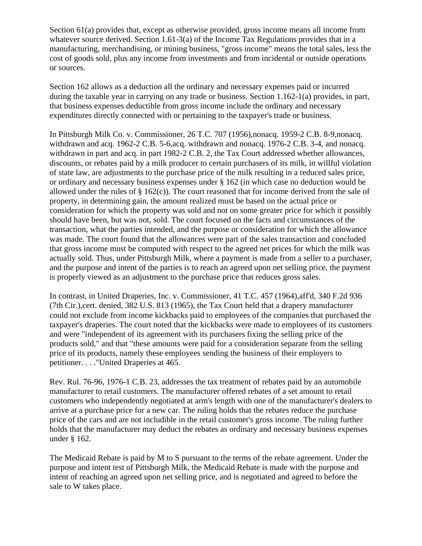Section 61(a) provides that, except as otherwise provided, gross income means all income from whatever source derived. Section 1.61-3(a) of the Income Tax Regulations provides that in a manufacturing, merchandising, or mining business, "gross income" means the total sales, less the cost of goods sold, plus any income from investments and from incidental or outside operations or sources.

Section 162 allows as a deduction all the ordinary and necessary expenses paid or incurred during the taxable year in carrying on any trade or business. Section 1.162-1(a) provides, in part, that business expenses deductible from gross income include the ordinary and necessary expenditures directly connected with or pertaining to the taxpayer's trade or business.

In Pittsburgh Milk Co. v. Commissioner, 26 T.C. 707 (1956),nonacq. 1959-2 C.B. 8-9,nonacq. withdrawn and acq. 1962-2 C.B. 5-6,acq. withdrawn and nonacq. 1976-2 C.B. 3-4, and nonacq. withdrawn in part and acq. in part 1982-2 C.B. 2, the Tax Court addressed whether allowances, discounts, or rebates paid by a milk producer to certain purchasers of its milk, in willful violation of state law, are adjustments to the purchase price of the milk resulting in a reduced sales price, or ordinary and necessary business expenses under § 162 (in which case no deduction would be allowed under the rules of § 162(c)). The court reasoned that for income derived from the sale of property, in determining gain, the amount realized must be based on the actual price or consideration for which the property was sold and not on some greater price for which it possibly should have been, but was not, sold. The court focused on the facts and circumstances of the transaction, what the parties intended, and the purpose or consideration for which the allowance was made. The court found that the allowances were part of the sales transaction and concluded that gross income must be computed with respect to the agreed net prices for which the milk was actually sold. Thus, under Pittsburgh Milk, where a payment is made from a seller to a purchaser, and the purpose and intent of the parties is to reach an agreed upon net selling price, the payment is properly viewed as an adjustment to the purchase price that reduces gross sales.

In contrast, in United Draperies, Inc. v. Commissioner, 41 T.C. 457 (1964),aff'd, 340 F.2d 936 (7th Cir.),cert. denied, 382 U.S. 813 (1965), the Tax Court held that a drapery manufacturer could not exclude from income kickbacks paid to employees of the companies that purchased the taxpayer's draperies. The court noted that the kickbacks were made to employees of its customers and were "independent of its agreement with its purchasers fixing the selling price of the products sold," and that "these amounts were paid for a consideration separate from the selling price of its products, namely these employees sending the business of their employers to petitioner. . . ."United Draperies at 465.

Rev. Rul. 76-96, 1976-1 C.B. 23, addresses the tax treatment of rebates paid by an automobile manufacturer to retail customers. The manufacturer offered rebates of a set amount to retail customers who independently negotiated at arm's length with one of the manufacturer's dealers to arrive at a purchase price for a new car. The ruling holds that the rebates reduce the purchase price of the cars and are not includible in the retail customer's gross income. The ruling further holds that the manufacturer may deduct the rebates as ordinary and necessary business expenses under § 162.

The Medicaid Rebate is paid by M to S pursuant to the terms of the rebate agreement. Under the purpose and intent test of Pittsburgh Milk, the Medicaid Rebate is made with the purpose and intent of reaching an agreed upon net selling price, and is negotiated and agreed to before the sale to W takes place.